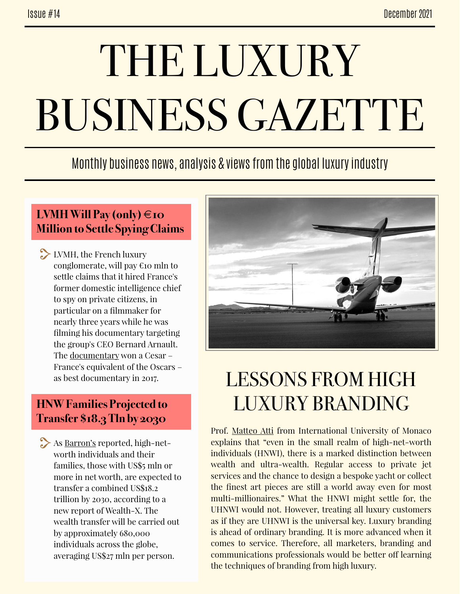# THE LUXURY BUSINESS GAZETTE

### Monthly business news, analysis & views from the global luxury industry

#### **LVMH Will Pay (only) €10 Million to Settle Spying Claims**

LVMH, the French luxury conglomerate, will pay €10 mln to settle claims that it hired France's former domestic intelligence chief to spy on private citizens, in particular on a filmmaker for nearly three years while he was filming his documentary targeting the group's CEO Bernard Arnault. The [documentary](https://www.france24.com/en/france/20211217-french-luxury-group-lvmh-to-pay-10-million-euros-to-settle-spying-claims) won a Cesar – France's equivalent of the Oscars – as best documentary in 2017.

#### **HNW Families Projected to Transfer \$18.3 Tln by 2030**

As [Barron's](https://www.barrons.com/amp/articles/high-net-worth-families-projected-to-transfer-18-3-trillion-of-collective-wealth-by-2030-01638314251) reported, high-networth individuals and their families, those with US\$5 mln or more in net worth, are expected to transfer a combined US\$18.2 trillion by 2030, according to a new report of Wealth-X. The wealth transfer will be carried out by approximately 680,000 individuals across the globe, averaging US\$27 mln per person.



## LESSONS FROM HIGH LUXURY BRANDING

Prof. [Matteo Atti](https://www.forbes.com/sites/forbescommunicationscouncil/2021/12/07/a-matter-of-wealth-why-we-should-treat-all-customers-as-uhnwi/amp/) from International University of Monaco explains that "even in the small realm of high-net-worth individuals (HNWI), there is a marked distinction between wealth and ultra-wealth. Regular access to private jet services and the chance to design a bespoke yacht or collect the finest art pieces are still a world away even for most multi-millionaires." What the HNWI might settle for, the UHNWI would not. However, treating all luxury customers as if they are UHNWI is the universal key. Luxury branding is ahead of ordinary branding. It is more advanced when it comes to service. Therefore, all marketers, branding and communications professionals would be better off learning the techniques of branding from high luxury.